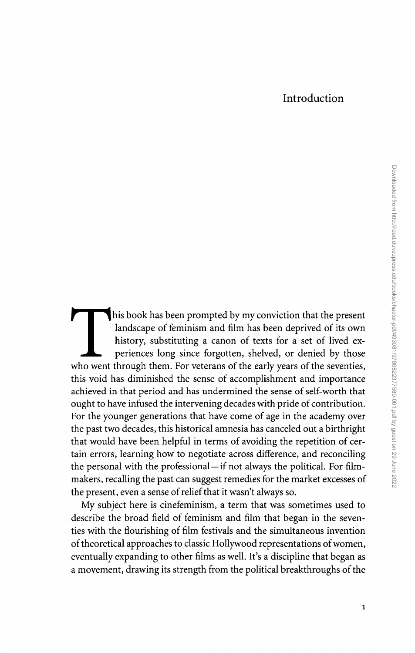## Introduction

This book has been prompted by my conviction that the present landscape of feminism and film has been deprived of its own history, substituting a canon of texts for a set of lived exlandscape of feminism and film has been deprived of its own history, substituting a canon of texts for a set of lived experiences long since forgotten, shelved, or denied by those who went through them. For veterans of the early years of the seventies, this void has diminished the sense of accomplishment and importance achieved in that period and has undermined the sense of self-worth that ought to have infused the intervening decades with pride of contribution. For the younger generations that have come of age in the academy over the past two decades, this historical amnesia has canceled out a birthright that would have been helpful in terms of avoiding the repetition of certain errors, learning how to negotiate across difference, and reconciling the personal with the professional- if not always the political. For filmmakers, recalling the past can suggest remedies for the market excesses of the present, even a sense of relief that it wasn't always so.

My subject here is cinefeminism, a term that was sometimes used to describe the broad field of feminism and film that began in the seventies with the flourishing of film festivals and the simultaneous invention of theoretical approaches to classic Hollywood representations of women, eventually expanding to other films as well. It's a discipline that began as a movement, drawing its strength from the political breakthroughs of the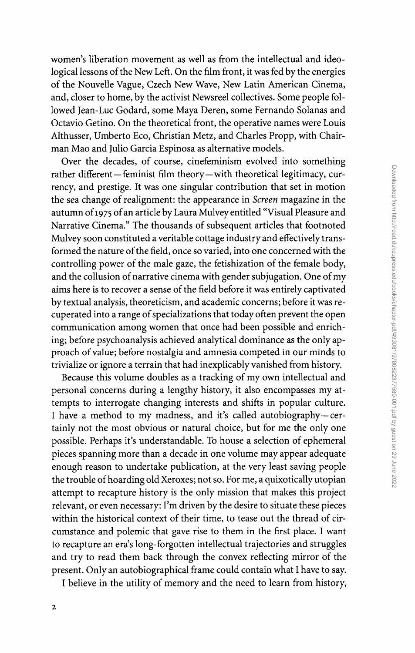women's liberation movement as well as from the intellectual and ideological lessons of the New Left. On the film front, it was fed by the energies of the Nouvelle Vague, Czech New Wave, New Latin American Cinema, and, closer to home, by the activist Newsreel collectives. Some people followed Jean-Luc Godard, some Maya Deren, some Fernando Solanas and Octavio Getino. On the theoretical front, the operative names were Louis Althusser, Umberto Eco, Christian Metz, and Charles Propp, with Chairman Mao and Julio Garcia Espinosa as alternative models.

Over the decades, of course, cinefeminism evolved into something rather different-feminist film theory-with theoretical legitimacy, currency, and prestige. It was one singular contribution that set in motion the sea change of realignment: the appearance in *Screen* magazine in the autumn of 1975 of an article by Laura Mulvey entitled "Visual Pleasure and Narrative Cinema." The thousands of subsequent articles that footnoted Mulvey soon constituted a veritable cottage industry and effectively transformed the nature of the field, once so varied, into one concerned with the controlling power of the male gaze, the fetishization of the female body, and the collusion of narrative cinema with gender subjugation. One of my aims here is to recover a sense of the field before it was entirely captivated by textual analysis, theoreticism, and academic concerns; before it was recuperated into a range of specializations that today often prevent the open communication among women that once had been possible and enriching; before psychoanalysis achieved analytical dominance as the only approach of value; before nostalgia and amnesia competed in our minds to trivialize or ignore a terrain that had inexplicably vanished from history.

Because this volume doubles as a tracking of my own intellectual and personal concerns during a lengthy history, it also encompasses myattempts to interrogate changing interests and shifts in popular culture. I have a method to my madness, and it's called autobiography-certainly not the most obvious or natural choice, but for me the only one possible. Perhaps it's understandable. To house a selection of ephemeral pieces spanning more than a decade in one volume may appear adequate enough reason to undertake publication, at the very least saving people the trouble of hoarding old Xeroxes; not so. For me, a quixotically utopian attempt to recapture history is the only mission that makes this project relevant, or even necessary: I'm driven by the desire to situate these pieces within the historical context of their time, to tease out the thread of circumstance and polemic that gave rise to them in the first place. I want to recapture an era's long-forgotten intellectual trajectories and struggles and try to read them back through the convex reflecting mirror of the present. Only an autobiographical frame could contain what I have to say.

I believe in the utility of memory and the need to learn from history,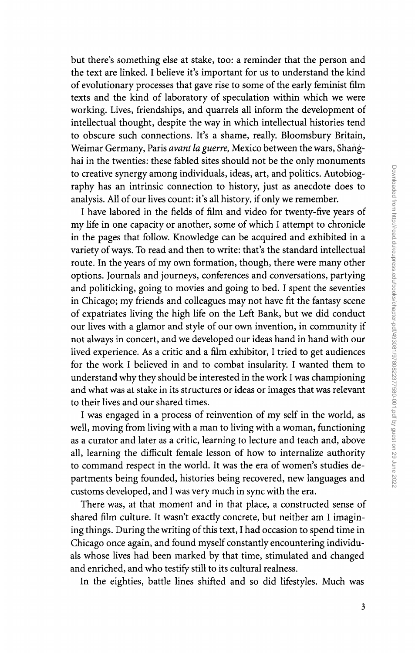but there's something else at stake, too: a reminder that the person and the text are linked. I believe it's important for us to understand the kind of evolutionary processes that gave rise to some of the early feminist film texts and the kind of laboratory of speculation within which we were working. Lives, friendships, and quarrels all inform the development of intellectual thought, despite the way in which intellectual histories tend to obscure such connections. It's a shame, really. Bloomsbury Britain, Weimar Germany, Paris *avant La guerre,* Mexico between the wars, Shang~ hai in the twenties: these fabled sites should not be the only monuments to creative synergy among individuals, ideas, art, and politics. Autobiography has an intrinsic connection to history, just as anecdote does to analysis. All of our lives count: it's all history, if only we remember.

I have labored in the fields of film and video for twenty-five years of my life in one capacity or another, some of which I attempt to chronicle in the pages that follow. Knowledge can be acquired and exhibited in a variety of ways. To read and then to write: that's the standard intellectual route. In the years of my own formation, though, there were many other options. Journals and journeys, conferences and conversations, partying and politicking, going to movies and going to bed. I spent the seventies in Chicago; my friends and colleagues may not have fit the fantasy scene of expatriates living the high life on the Left Bank, but we did conduct our lives with a glamor and style of our own invention, in community if not always in concert, and we developed our ideas hand in hand with our lived experience. As a critic and a film exhibitor, I tried to get audiences for the work I believed in and to combat insularity. I wanted them to understand why they should be interested in the work I was championing and what was at stake in its structures or ideas or images that was relevant to their lives and our shared times.

I was engaged in a process of reinvention of my self in the world, as well, moving from living with a man to living with a woman, functioning as a curator and later as a critic, learning to lecture and teach and, above all, learning the difficult female lesson of how to internalize authority to command respect in the world. It was the era of women's studies departments being founded, histories being recovered, new languages and customs developed, and I was very much in sync with the era.

There was, at that moment and in that place, a constructed sense of shared film culture. It wasn't exactly concrete, but neither am I imagining things. During the writing of this text, I had occasion to spend time in Chicago once again, and found myself constantly encountering individuals whose lives had been marked by that time, stimulated and changed and enriched, and who testify still to its cultural realness.

In the eighties, battle lines shifted and so did lifestyles. Much was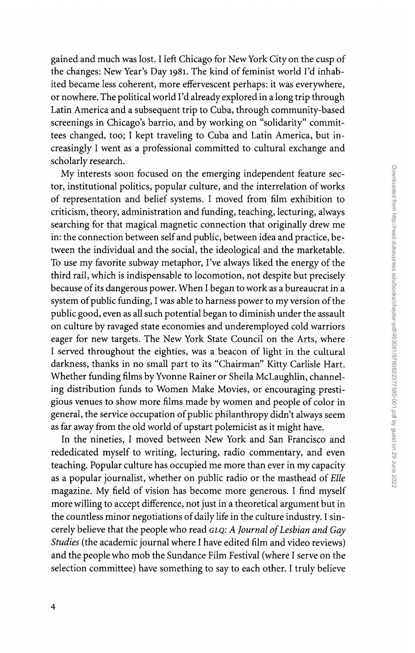gained and much was lost. I left Chicago for New York City on the cusp of the changes: New Year's Day 1981. The kind of feminist world I'd inhabited became less coherent, more effervescent perhaps: it was everywhere, or nowhere. The political world I'd already explored in a long trip through Latin America and a subsequent trip to Cuba, through community-based screenings in Chicago's barrio, and by working on "solidarity" committees changed, too; I kept traveling to Cuba and Latin America, but increasingly I went as a professional committed to cultural exchange and scholarly research.

My interests soon focused on the emerging independent feature sector, institutional politics, popular culture, and the interrelation of works of representation and belief systems. I moved from film exhibition to criticism, theory, administration and funding, teaching, lecturing, always searching for that magical magnetic connection that originally drew me in: the connection between self and public, between idea and practice, between the individual and the social, the ideological and the marketable. To use my favorite subway metaphor, I've always liked the energy of the third rail, which is indispensable to locomotion, not despite but precisely because of its dangerous power. When I began to work as a bureaucrat in a system of public funding, I was able to harness power to my version of the public good, even as all such potential began to diminish under the assault on culture by ravaged state economies and underemployed cold warriors eager for new targets. The New York State Council on the Arts, where I served throughout the eighties, was a beacon of light in the cultural darkness, thanks in no small part to its "Chairman" Kitty Carlisle Hart. Whether funding films by Yvonne Rainer or Sheila McLaughlin, channeling distribution funds to Women Make Movies, or encouraging prestigious venues to show more films made by women and people of color in general, the service occupation of public philanthropy didn't always seem as far away from the old world of upstart polemicist as it might have.

In the nineties, I moved between New York and San Francisco and rededicated myself to writing, lecturing, radio commentary, and even teaching. Popular culture has occupied me more than ever in my capacity as a popular journalist, whether on public radio or the masthead of *BUe*  magazine. My field of vision has become more generous. I find myself more willing to accept difference, not just in a theoretical argument but in the countless minor negotiations of daily life in the culture industry. I sincerely believe that the people who read *GLQ: A Journal of Lesbian and Gay Studies* (the academic journal where I have edited film and video reviews) and the people who mob the Sundance Film Festival (where I serve on the selection committee) have something to say to each other. I truly believe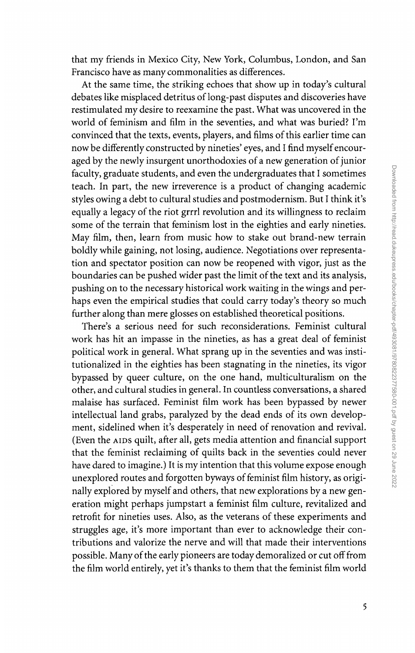that my friends in Mexico City, New York, Columbus, London, and San Francisco have as many commonalities as differences.

At the same time, the striking echoes that show up in today's cultural debates like misplaced detritus of long-past disputes and discoveries have restimulated my desire to reexamine the past. What was uncovered in the world of feminism and film in the seventies, and what was buried? I'm convinced that the texts, events, players, and films of this earlier time can now be differently constructed by nineties' eyes, and I find myself encouraged by the newly insurgent unorthodoxies of a new generation of junior faculty, graduate students, and even the undergraduates that I sometimes teach. In part, the new irreverence is a product of changing academic styles owing a debt to cultural studies and postmodernism. But I think it's equally a legacy of the riot grrrl revolution and its willingness to reclaim some of the terrain that feminism lost in the eighties and early nineties. May film, then, learn from music how to stake out brand-new terrain boldly while gaining, not losing, audience. Negotiations over representation and spectator position can now be reopened with vigor, just as the boundaries can be pushed wider past the limit of the text and its analysis, pushing on to the necessary historical work waiting in the wings and perhaps even the empirical studies that could carry today's theory so much further along than mere glosses on established theoretical positions.

There's a serious need for such reconsiderations. Feminist cultural work has hit an impasse in the nineties, as has a great deal of feminist political work in general. What sprang up in the seventies and was institutionalized in the eighties has been stagnating in the nineties, its vigor bypassed by queer culture, on the one hand, multiculturalism on the other, and cultural studies in general. In countless conversations, a shared malaise has surfaced. Feminist film work has been bypassed by newer intellectual land grabs, paralyzed by the dead ends of its own development, sidelined when it's desperately in need of renovation and revival. (Even the AIDS quilt, after all, gets media attention and financial support that the feminist reclaiming of quilts back in the seventies could never have dared to imagine.) It is my intention that this volume expose enough unexplored routes and forgotten byways of feminist film history, as originally explored by myself and others, that new explorations by a new generation might perhaps jumpstart a feminist film culture, revitalized and retrofit for nineties uses. Also, as the veterans of these experiments and struggles age, it's more important than ever to acknowledge their contributions and valorize the nerve and will that made their interventions possible. Many of the early pioneers are today demoralized or cut off from the film world entirely, yet it's thanks to them that the feminist film world